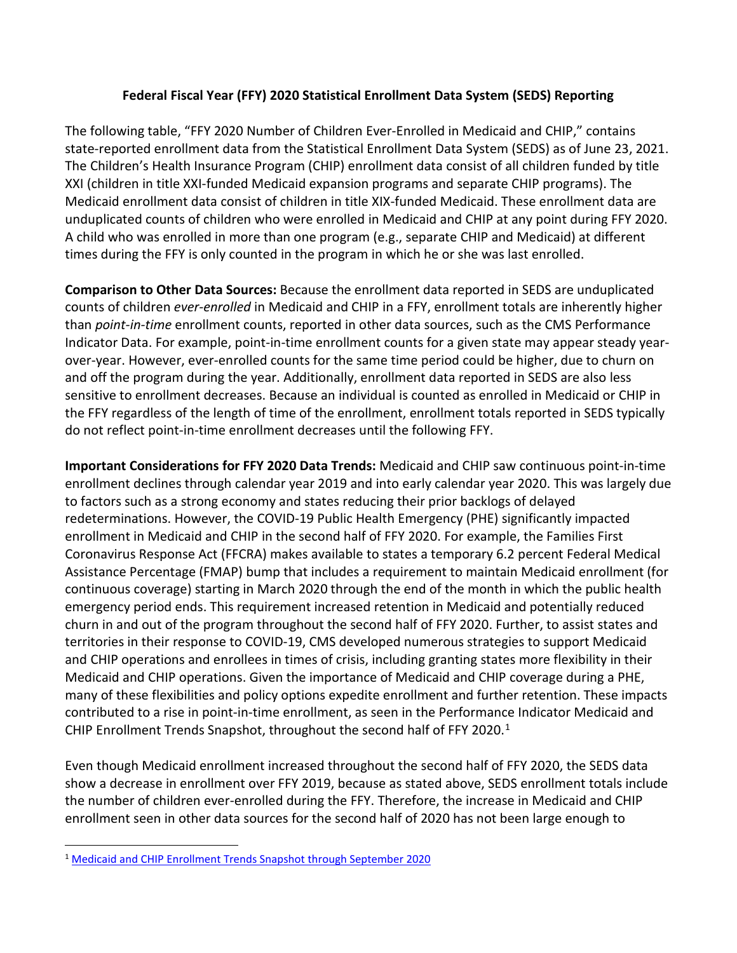## **Federal Fiscal Year (FFY) 2020 Statistical Enrollment Data System (SEDS) Reporting**

The following table, "FFY 2020 Number of Children Ever-Enrolled in Medicaid and CHIP," contains state-reported enrollment data from the Statistical Enrollment Data System (SEDS) as of June 23, 2021. The Children's Health Insurance Program (CHIP) enrollment data consist of all children funded by title XXI (children in title XXI-funded Medicaid expansion programs and separate CHIP programs). The Medicaid enrollment data consist of children in title XIX-funded Medicaid. These enrollment data are unduplicated counts of children who were enrolled in Medicaid and CHIP at any point during FFY 2020. A child who was enrolled in more than one program (e.g., separate CHIP and Medicaid) at different times during the FFY is only counted in the program in which he or she was last enrolled.

**Comparison to Other Data Sources:** Because the enrollment data reported in SEDS are unduplicated counts of children *ever-enrolled* in Medicaid and CHIP in a FFY, enrollment totals are inherently higher than *point-in-time* enrollment counts, reported in other data sources, such as the CMS Performance Indicator Data. For example, point-in-time enrollment counts for a given state may appear steady yearover-year. However, ever-enrolled counts for the same time period could be higher, due to churn on and off the program during the year. Additionally, enrollment data reported in SEDS are also less sensitive to enrollment decreases. Because an individual is counted as enrolled in Medicaid or CHIP in the FFY regardless of the length of time of the enrollment, enrollment totals reported in SEDS typically do not reflect point-in-time enrollment decreases until the following FFY.

**Important Considerations for FFY 2020 Data Trends:** Medicaid and CHIP saw continuous point-in-time enrollment declines through calendar year 2019 and into early calendar year 2020. This was largely due to factors such as a strong economy and states reducing their prior backlogs of delayed redeterminations. However, the COVID-19 Public Health Emergency (PHE) significantly impacted enrollment in Medicaid and CHIP in the second half of FFY 2020. For example, the Families First Coronavirus Response Act (FFCRA) makes available to states a temporary 6.2 percent Federal Medical Assistance Percentage (FMAP) bump that includes a requirement to maintain Medicaid enrollment (for continuous coverage) starting in March 2020 through the end of the month in which the public health emergency period ends. This requirement increased retention in Medicaid and potentially reduced churn in and out of the program throughout the second half of FFY 2020. Further, to assist states and territories in their response to COVID-19, CMS developed numerous strategies to support Medicaid and CHIP operations and enrollees in times of crisis, including granting states more flexibility in their Medicaid and CHIP operations. Given the importance of Medicaid and CHIP coverage during a PHE, many of these flexibilities and policy options expedite enrollment and further retention. These impacts contributed to a rise in point-in-time enrollment, as seen in the Performance Indicator Medicaid and CHIP Enrollment Trends Snapshot, throughout the second half of FFY 2020.<sup>[1](#page-0-0)</sup>

Even though Medicaid enrollment increased throughout the second half of FFY 2020, the SEDS data show a decrease in enrollment over FFY 2019, because as stated above, SEDS enrollment totals include the number of children ever-enrolled during the FFY. Therefore, the increase in Medicaid and CHIP enrollment seen in other data sources for the second half of 2020 has not been large enough to

<span id="page-0-0"></span> <sup>1</sup> [Medicaid and CHIP Enrollment Trends Snapshot through September 2020](https://www.medicaid.gov/medicaid/national-medicaid-chip-program-information/downloads/september-medicaid-chip-enrollment-trend-snapshot.pdf)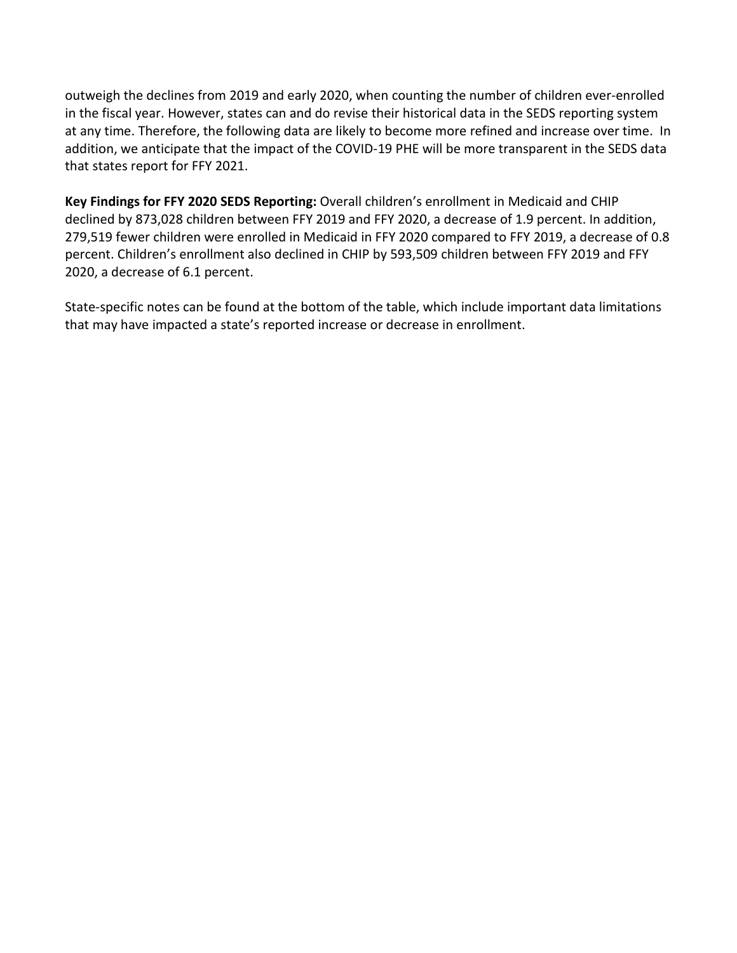outweigh the declines from 2019 and early 2020, when counting the number of children ever-enrolled in the fiscal year. However, states can and do revise their historical data in the SEDS reporting system at any time. Therefore, the following data are likely to become more refined and increase over time. In addition, we anticipate that the impact of the COVID-19 PHE will be more transparent in the SEDS data that states report for FFY 2021.

**Key Findings for FFY 2020 SEDS Reporting:** Overall children's enrollment in Medicaid and CHIP declined by 873,028 children between FFY 2019 and FFY 2020, a decrease of 1.9 percent. In addition, 279,519 fewer children were enrolled in Medicaid in FFY 2020 compared to FFY 2019, a decrease of 0.8 percent. Children's enrollment also declined in CHIP by 593,509 children between FFY 2019 and FFY 2020, a decrease of 6.1 percent.

State-specific notes can be found at the bottom of the table, which include important data limitations that may have impacted a state's reported increase or decrease in enrollment.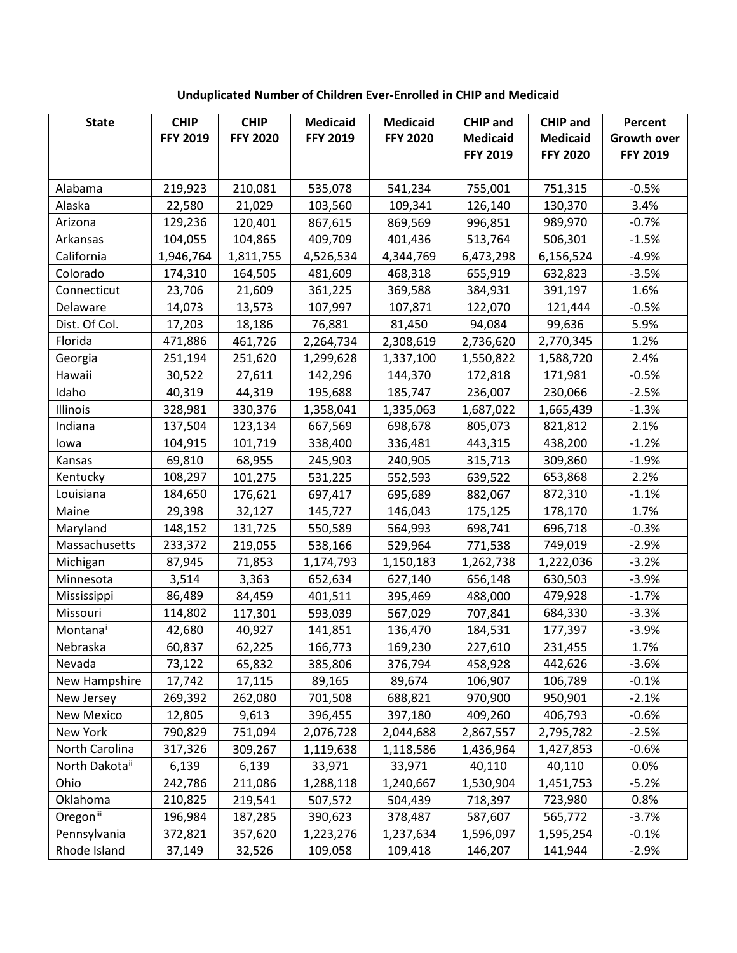## **Unduplicated Number of Children Ever-Enrolled in CHIP and Medicaid**

| <b>State</b>               | <b>CHIP</b>     | <b>CHIP</b>     | <b>Medicaid</b> | <b>Medicaid</b> | <b>CHIP and</b> | <b>CHIP and</b> | Percent            |
|----------------------------|-----------------|-----------------|-----------------|-----------------|-----------------|-----------------|--------------------|
|                            | <b>FFY 2019</b> | <b>FFY 2020</b> | <b>FFY 2019</b> | <b>FFY 2020</b> | <b>Medicaid</b> | <b>Medicaid</b> | <b>Growth over</b> |
|                            |                 |                 |                 |                 | <b>FFY 2019</b> | <b>FFY 2020</b> | <b>FFY 2019</b>    |
|                            |                 |                 |                 |                 |                 |                 |                    |
| Alabama                    | 219,923         | 210,081         | 535,078         | 541,234         | 755,001         | 751,315         | $-0.5%$            |
| Alaska                     | 22,580          | 21,029          | 103,560         | 109,341         | 126,140         | 130,370         | 3.4%               |
| Arizona                    | 129,236         | 120,401         | 867,615         | 869,569         | 996,851         | 989,970         | $-0.7%$            |
| Arkansas                   | 104,055         | 104,865         | 409,709         | 401,436         | 513,764         | 506,301         | $-1.5%$            |
| California                 | 1,946,764       | 1,811,755       | 4,526,534       | 4,344,769       | 6,473,298       | 6,156,524       | $-4.9%$            |
| Colorado                   | 174,310         | 164,505         | 481,609         | 468,318         | 655,919         | 632,823         | $-3.5%$            |
| Connecticut                | 23,706          | 21,609          | 361,225         | 369,588         | 384,931         | 391,197         | 1.6%               |
| Delaware                   | 14,073          | 13,573          | 107,997         | 107,871         | 122,070         | 121,444         | $-0.5%$            |
| Dist. Of Col.              | 17,203          | 18,186          | 76,881          | 81,450          | 94,084          | 99,636          | 5.9%               |
| Florida                    | 471,886         | 461,726         | 2,264,734       | 2,308,619       | 2,736,620       | 2,770,345       | 1.2%               |
| Georgia                    | 251,194         | 251,620         | 1,299,628       | 1,337,100       | 1,550,822       | 1,588,720       | 2.4%               |
| Hawaii                     | 30,522          | 27,611          | 142,296         | 144,370         | 172,818         | 171,981         | $-0.5%$            |
| Idaho                      | 40,319          | 44,319          | 195,688         | 185,747         | 236,007         | 230,066         | $-2.5%$            |
| Illinois                   | 328,981         | 330,376         | 1,358,041       | 1,335,063       | 1,687,022       | 1,665,439       | $-1.3%$            |
| Indiana                    | 137,504         | 123,134         | 667,569         | 698,678         | 805,073         | 821,812         | 2.1%               |
| lowa                       | 104,915         | 101,719         | 338,400         | 336,481         | 443,315         | 438,200         | $-1.2%$            |
| Kansas                     | 69,810          | 68,955          | 245,903         | 240,905         | 315,713         | 309,860         | $-1.9%$            |
| Kentucky                   | 108,297         | 101,275         | 531,225         | 552,593         | 639,522         | 653,868         | 2.2%               |
| Louisiana                  | 184,650         | 176,621         | 697,417         | 695,689         | 882,067         | 872,310         | $-1.1%$            |
| Maine                      | 29,398          | 32,127          | 145,727         | 146,043         | 175,125         | 178,170         | 1.7%               |
| Maryland                   | 148,152         | 131,725         | 550,589         | 564,993         | 698,741         | 696,718         | $-0.3%$            |
| Massachusetts              | 233,372         | 219,055         | 538,166         | 529,964         | 771,538         | 749,019         | $-2.9%$            |
| Michigan                   | 87,945          | 71,853          | 1,174,793       | 1,150,183       | 1,262,738       | 1,222,036       | $-3.2%$            |
| Minnesota                  | 3,514           | 3,363           | 652,634         | 627,140         | 656,148         | 630,503         | $-3.9%$            |
| Mississippi                | 86,489          | 84,459          | 401,511         | 395,469         | 488,000         | 479,928         | $-1.7%$            |
| Missouri                   | 114,802         | 117,301         | 593,039         | 567,029         | 707,841         | 684,330         | $-3.3%$            |
| Montanai                   | 42,680          | 40,927          | 141,851         | 136,470         | 184,531         | 177,397         | $-3.9%$            |
| Nebraska                   | 60,837          | 62,225          | 166,773         | 169,230         | 227,610         | 231,455         | 1.7%               |
| Nevada                     | 73,122          | 65,832          | 385,806         | 376,794         | 458,928         | 442,626         | $-3.6%$            |
| New Hampshire              | 17,742          | 17,115          | 89,165          | 89,674          | 106,907         | 106,789         | $-0.1%$            |
| New Jersey                 | 269,392         | 262,080         | 701,508         | 688,821         | 970,900         | 950,901         | $-2.1%$            |
| New Mexico                 | 12,805          | 9,613           | 396,455         | 397,180         | 409,260         | 406,793         | $-0.6%$            |
| New York                   | 790,829         | 751,094         | 2,076,728       | 2,044,688       | 2,867,557       | 2,795,782       | $-2.5%$            |
| North Carolina             | 317,326         | 309,267         | 1,119,638       | 1,118,586       | 1,436,964       | 1,427,853       | $-0.6%$            |
| North Dakota <sup>ii</sup> | 6,139           | 6,139           | 33,971          | 33,971          | 40,110          | 40,110          | 0.0%               |
| Ohio                       | 242,786         | 211,086         | 1,288,118       | 1,240,667       | 1,530,904       | 1,451,753       | $-5.2%$            |
| Oklahoma                   | 210,825         | 219,541         | 507,572         | 504,439         | 718,397         | 723,980         | 0.8%               |
| Oregoniii                  | 196,984         | 187,285         | 390,623         | 378,487         | 587,607         | 565,772         | $-3.7%$            |
| Pennsylvania               | 372,821         | 357,620         | 1,223,276       | 1,237,634       | 1,596,097       | 1,595,254       | $-0.1%$            |
| Rhode Island               | 37,149          | 32,526          | 109,058         | 109,418         | 146,207         | 141,944         | $-2.9%$            |